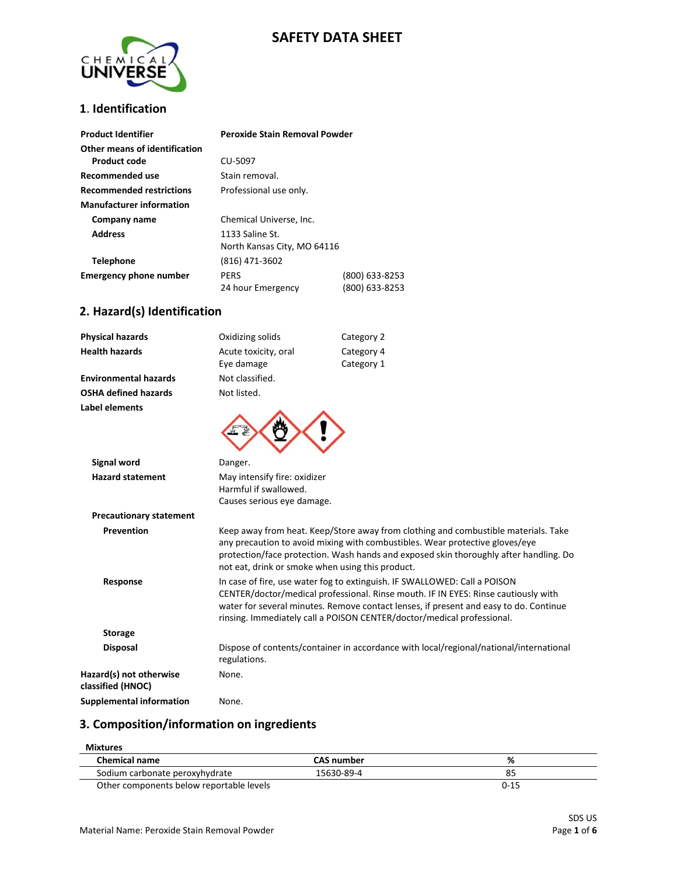# **SAFETY DATA SHEET**



## **1**. **Identification**

| <b>Product Identifier</b>       | Peroxide Stain Removal Powder |                |
|---------------------------------|-------------------------------|----------------|
| Other means of identification   |                               |                |
| Product code                    | CU-5097                       |                |
| Recommended use                 | Stain removal.                |                |
| <b>Recommended restrictions</b> | Professional use only.        |                |
| <b>Manufacturer information</b> |                               |                |
| Company name                    | Chemical Universe, Inc.       |                |
| <b>Address</b>                  | 1133 Saline St.               |                |
|                                 | North Kansas City, MO 64116   |                |
| <b>Telephone</b>                | (816) 471-3602                |                |
| <b>Emergency phone number</b>   | <b>PERS</b>                   | (800) 633-8253 |
|                                 | 24 hour Emergency             | (800) 633-8253 |

## **2. Hazard(s) Identification**

| <b>Physical hazards</b>                      | Oxidizing solids                                                                                                                                                                                                                                                                                                                   | Category 2                                                                             |
|----------------------------------------------|------------------------------------------------------------------------------------------------------------------------------------------------------------------------------------------------------------------------------------------------------------------------------------------------------------------------------------|----------------------------------------------------------------------------------------|
| <b>Health hazards</b>                        | Acute toxicity, oral                                                                                                                                                                                                                                                                                                               | Category 4                                                                             |
|                                              | Eye damage                                                                                                                                                                                                                                                                                                                         | Category 1                                                                             |
| <b>Environmental hazards</b>                 | Not classified.                                                                                                                                                                                                                                                                                                                    |                                                                                        |
| <b>OSHA defined hazards</b>                  | Not listed.                                                                                                                                                                                                                                                                                                                        |                                                                                        |
| Label elements                               |                                                                                                                                                                                                                                                                                                                                    |                                                                                        |
| <b>Signal word</b>                           | Danger.                                                                                                                                                                                                                                                                                                                            |                                                                                        |
| <b>Hazard statement</b>                      | May intensify fire: oxidizer<br>Harmful if swallowed.<br>Causes serious eye damage.                                                                                                                                                                                                                                                |                                                                                        |
| <b>Precautionary statement</b>               |                                                                                                                                                                                                                                                                                                                                    |                                                                                        |
| Prevention                                   | Keep away from heat. Keep/Store away from clothing and combustible materials. Take<br>any precaution to avoid mixing with combustibles. Wear protective gloves/eye<br>protection/face protection. Wash hands and exposed skin thoroughly after handling. Do<br>not eat, drink or smoke when using this product.                    |                                                                                        |
| Response                                     | In case of fire, use water fog to extinguish. IF SWALLOWED: Call a POISON<br>CENTER/doctor/medical professional. Rinse mouth. IF IN EYES: Rinse cautiously with<br>water for several minutes. Remove contact lenses, if present and easy to do. Continue<br>rinsing. Immediately call a POISON CENTER/doctor/medical professional. |                                                                                        |
| <b>Storage</b>                               |                                                                                                                                                                                                                                                                                                                                    |                                                                                        |
| <b>Disposal</b>                              | regulations.                                                                                                                                                                                                                                                                                                                       | Dispose of contents/container in accordance with local/regional/national/international |
| Hazard(s) not otherwise<br>classified (HNOC) | None.                                                                                                                                                                                                                                                                                                                              |                                                                                        |
| <b>Supplemental information</b>              | None.                                                                                                                                                                                                                                                                                                                              |                                                                                        |

#### **3. Composition/information on ingredients**

| Mixtures                                 |                   |          |
|------------------------------------------|-------------------|----------|
| <b>Chemical name</b>                     | <b>CAS number</b> | %        |
| Sodium carbonate peroxyhydrate           | 15630-89-4        | 85       |
| Other components below reportable levels |                   | $0 - 15$ |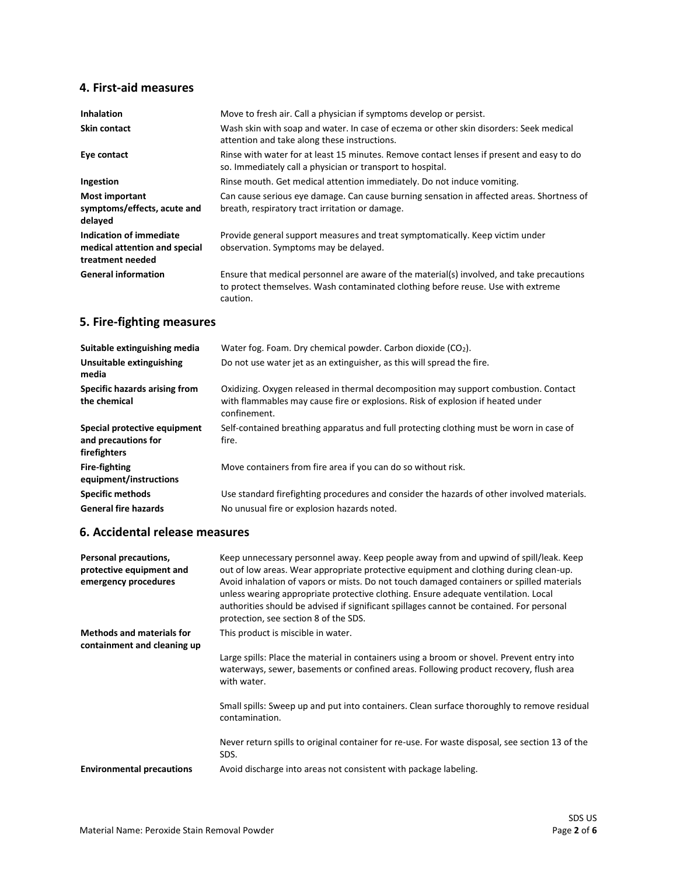#### **4. First-aid measures**

| <b>Inhalation</b>                                                            | Move to fresh air. Call a physician if symptoms develop or persist.                                                                                                                       |  |
|------------------------------------------------------------------------------|-------------------------------------------------------------------------------------------------------------------------------------------------------------------------------------------|--|
| <b>Skin contact</b>                                                          | Wash skin with soap and water. In case of eczema or other skin disorders: Seek medical<br>attention and take along these instructions.                                                    |  |
| Eye contact                                                                  | Rinse with water for at least 15 minutes. Remove contact lenses if present and easy to do<br>so. Immediately call a physician or transport to hospital.                                   |  |
| Ingestion                                                                    | Rinse mouth. Get medical attention immediately. Do not induce vomiting.                                                                                                                   |  |
| <b>Most important</b><br>symptoms/effects, acute and<br>delayed              | Can cause serious eye damage. Can cause burning sensation in affected areas. Shortness of<br>breath, respiratory tract irritation or damage.                                              |  |
| Indication of immediate<br>medical attention and special<br>treatment needed | Provide general support measures and treat symptomatically. Keep victim under<br>observation. Symptoms may be delayed.                                                                    |  |
| <b>General information</b>                                                   | Ensure that medical personnel are aware of the material(s) involved, and take precautions<br>to protect themselves. Wash contaminated clothing before reuse. Use with extreme<br>caution. |  |

# **5. Fire-fighting measures**

| Suitable extinguishing media                                        | Water fog. Foam. Dry chemical powder. Carbon dioxide $(CO2)$ .                                                                                                                         |  |
|---------------------------------------------------------------------|----------------------------------------------------------------------------------------------------------------------------------------------------------------------------------------|--|
| Unsuitable extinguishing<br>media                                   | Do not use water jet as an extinguisher, as this will spread the fire.                                                                                                                 |  |
| Specific hazards arising from<br>the chemical                       | Oxidizing. Oxygen released in thermal decomposition may support combustion. Contact<br>with flammables may cause fire or explosions. Risk of explosion if heated under<br>confinement. |  |
| Special protective equipment<br>and precautions for<br>firefighters | Self-contained breathing apparatus and full protecting clothing must be worn in case of<br>fire.                                                                                       |  |
| <b>Fire-fighting</b><br>equipment/instructions                      | Move containers from fire area if you can do so without risk.                                                                                                                          |  |
| <b>Specific methods</b>                                             | Use standard firefighting procedures and consider the hazards of other involved materials.                                                                                             |  |
| <b>General fire hazards</b>                                         | No unusual fire or explosion hazards noted.                                                                                                                                            |  |

## **6. Accidental release measures**

| Personal precautions,<br>protective equipment and<br>emergency procedures | Keep unnecessary personnel away. Keep people away from and upwind of spill/leak. Keep<br>out of low areas. Wear appropriate protective equipment and clothing during clean-up.<br>Avoid inhalation of vapors or mists. Do not touch damaged containers or spilled materials<br>unless wearing appropriate protective clothing. Ensure adequate ventilation. Local<br>authorities should be advised if significant spillages cannot be contained. For personal<br>protection, see section 8 of the SDS. |
|---------------------------------------------------------------------------|--------------------------------------------------------------------------------------------------------------------------------------------------------------------------------------------------------------------------------------------------------------------------------------------------------------------------------------------------------------------------------------------------------------------------------------------------------------------------------------------------------|
| <b>Methods and materials for</b>                                          | This product is miscible in water.                                                                                                                                                                                                                                                                                                                                                                                                                                                                     |
| containment and cleaning up                                               |                                                                                                                                                                                                                                                                                                                                                                                                                                                                                                        |
|                                                                           | Large spills: Place the material in containers using a broom or shovel. Prevent entry into<br>waterways, sewer, basements or confined areas. Following product recovery, flush area<br>with water.                                                                                                                                                                                                                                                                                                     |
|                                                                           | Small spills: Sweep up and put into containers. Clean surface thoroughly to remove residual<br>contamination.                                                                                                                                                                                                                                                                                                                                                                                          |
|                                                                           | Never return spills to original container for re-use. For waste disposal, see section 13 of the<br>SDS.                                                                                                                                                                                                                                                                                                                                                                                                |
| <b>Environmental precautions</b>                                          | Avoid discharge into areas not consistent with package labeling.                                                                                                                                                                                                                                                                                                                                                                                                                                       |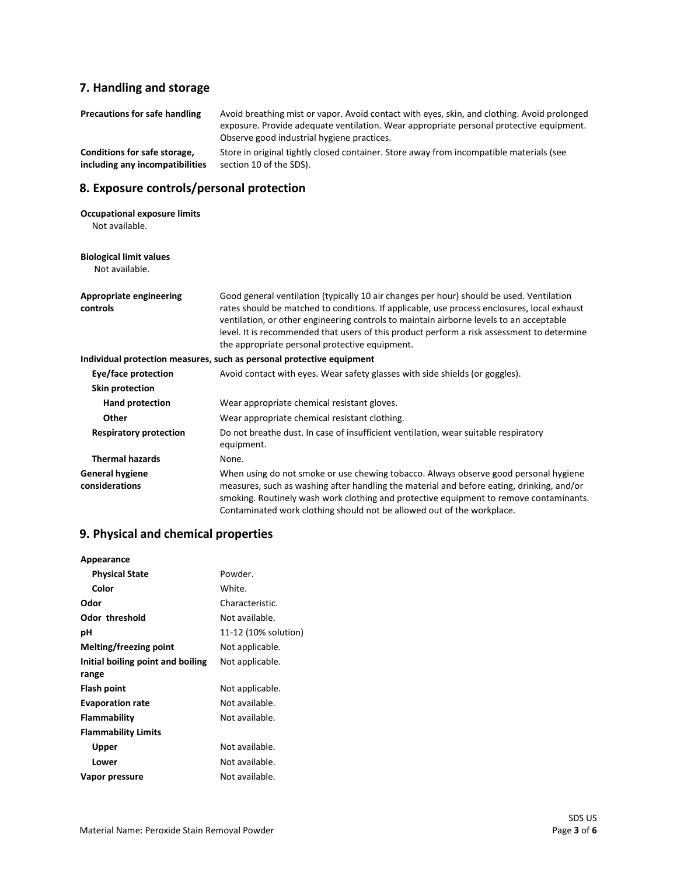# **7. Handling and storage**

| <b>Precautions for safe handling</b>                            | Avoid breathing mist or vapor. Avoid contact with eyes, skin, and clothing. Avoid prolonged<br>exposure. Provide adequate ventilation. Wear appropriate personal protective equipment.<br>Observe good industrial hygiene practices.                                                                                                                                                                                               |
|-----------------------------------------------------------------|------------------------------------------------------------------------------------------------------------------------------------------------------------------------------------------------------------------------------------------------------------------------------------------------------------------------------------------------------------------------------------------------------------------------------------|
| Conditions for safe storage,<br>including any incompatibilities | Store in original tightly closed container. Store away from incompatible materials (see<br>section 10 of the SDS).                                                                                                                                                                                                                                                                                                                 |
| 8. Exposure controls/personal protection                        |                                                                                                                                                                                                                                                                                                                                                                                                                                    |
| <b>Occupational exposure limits</b><br>Not available.           |                                                                                                                                                                                                                                                                                                                                                                                                                                    |
| <b>Biological limit values</b><br>Not available.                |                                                                                                                                                                                                                                                                                                                                                                                                                                    |
| <b>Appropriate engineering</b><br>controls                      | Good general ventilation (typically 10 air changes per hour) should be used. Ventilation<br>rates should be matched to conditions. If applicable, use process enclosures, local exhaust<br>ventilation, or other engineering controls to maintain airborne levels to an acceptable<br>level. It is recommended that users of this product perform a risk assessment to determine<br>the appropriate personal protective equipment. |
|                                                                 | Individual protection measures, such as personal protective equipment                                                                                                                                                                                                                                                                                                                                                              |
| Eye/face protection                                             | Avoid contact with eyes. Wear safety glasses with side shields (or goggles).                                                                                                                                                                                                                                                                                                                                                       |
| <b>Skin protection</b>                                          |                                                                                                                                                                                                                                                                                                                                                                                                                                    |
| <b>Hand protection</b>                                          | Wear appropriate chemical resistant gloves.                                                                                                                                                                                                                                                                                                                                                                                        |
| Other                                                           | Wear appropriate chemical resistant clothing.                                                                                                                                                                                                                                                                                                                                                                                      |
| <b>Respiratory protection</b>                                   | Do not breathe dust. In case of insufficient ventilation, wear suitable respiratory<br>equipment.                                                                                                                                                                                                                                                                                                                                  |
| <b>Thermal hazards</b>                                          | None.                                                                                                                                                                                                                                                                                                                                                                                                                              |
| <b>General hygiene</b><br>considerations                        | When using do not smoke or use chewing tobacco. Always observe good personal hygiene<br>measures, such as washing after handling the material and before eating, drinking, and/or<br>smoking. Routinely wash work clothing and protective equipment to remove contaminants.<br>Contaminated work clothing should not be allowed out of the workplace.                                                                              |

## **9. Physical and chemical properties**

| Appearance                        |                      |
|-----------------------------------|----------------------|
| <b>Physical State</b>             | Powder.              |
| Color                             | White.               |
| Odor                              | Characteristic.      |
| Odor threshold                    | Not available.       |
| рH                                | 11-12 (10% solution) |
| <b>Melting/freezing point</b>     | Not applicable.      |
| Initial boiling point and boiling | Not applicable.      |
| range                             |                      |
| Flash point                       | Not applicable.      |
| <b>Evaporation rate</b>           | Not available.       |
| Flammability                      | Not available.       |
| <b>Flammability Limits</b>        |                      |
| Upper                             | Not available.       |
| Lower                             | Not available.       |
| Vapor pressure                    | Not available.       |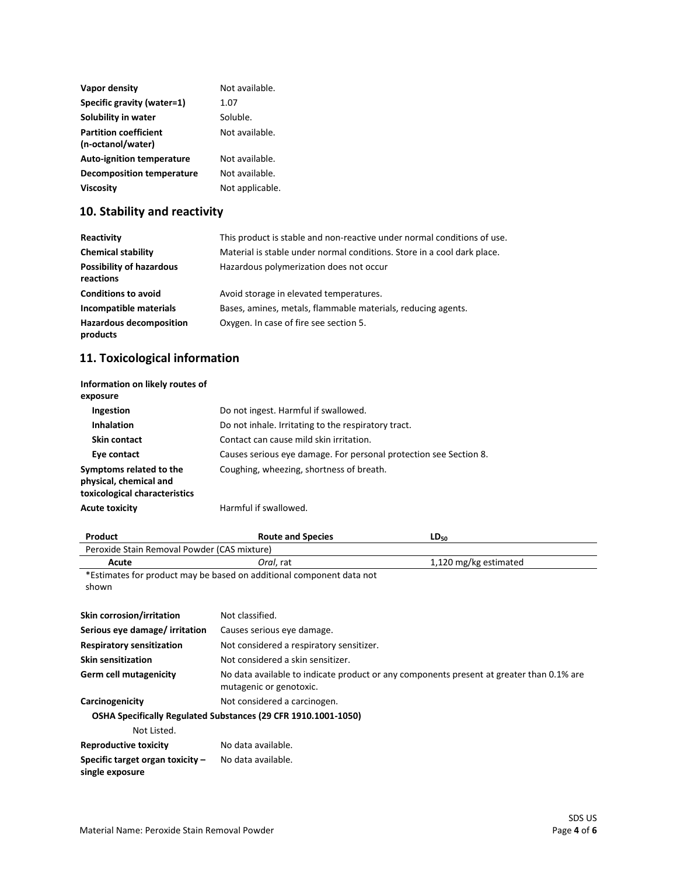| Vapor density                    | Not available.  |
|----------------------------------|-----------------|
| Specific gravity (water=1)       | 1.07            |
| Solubility in water              | Soluble.        |
| <b>Partition coefficient</b>     | Not available.  |
| (n-octanol/water)                |                 |
| <b>Auto-ignition temperature</b> | Not available.  |
| Decomposition temperature        | Not available.  |
| <b>Viscosity</b>                 | Not applicable. |

# **10. Stability and reactivity**

| Reactivity                                   | This product is stable and non-reactive under normal conditions of use. |
|----------------------------------------------|-------------------------------------------------------------------------|
| <b>Chemical stability</b>                    | Material is stable under normal conditions. Store in a cool dark place. |
| <b>Possibility of hazardous</b><br>reactions | Hazardous polymerization does not occur                                 |
| <b>Conditions to avoid</b>                   | Avoid storage in elevated temperatures.                                 |
| Incompatible materials                       | Bases, amines, metals, flammable materials, reducing agents.            |
| <b>Hazardous decomposition</b><br>products   | Oxygen. In case of fire see section 5.                                  |

# **11. Toxicological information**

| Information on likely routes of<br>exposure                                        |                                                                   |
|------------------------------------------------------------------------------------|-------------------------------------------------------------------|
| <b>Ingestion</b>                                                                   | Do not ingest. Harmful if swallowed.                              |
| <b>Inhalation</b>                                                                  | Do not inhale. Irritating to the respiratory tract.               |
| Skin contact                                                                       | Contact can cause mild skin irritation.                           |
| Eye contact                                                                        | Causes serious eye damage. For personal protection see Section 8. |
| Symptoms related to the<br>physical, chemical and<br>toxicological characteristics | Coughing, wheezing, shortness of breath.                          |
| <b>Acute toxicity</b>                                                              | Harmful if swallowed.                                             |

| Product                                                              | <b>Route and Species</b>                                                                 | $LD_{50}$             |  |
|----------------------------------------------------------------------|------------------------------------------------------------------------------------------|-----------------------|--|
| Peroxide Stain Removal Powder (CAS mixture)                          |                                                                                          |                       |  |
| Acute                                                                | Oral, rat                                                                                | 1,120 mg/kg estimated |  |
| *Estimates for product may be based on additional component data not |                                                                                          |                       |  |
| shown                                                                |                                                                                          |                       |  |
|                                                                      |                                                                                          |                       |  |
| Skin corrosion/irritation                                            | Not classified.                                                                          |                       |  |
| Serious eye damage/ irritation                                       | Causes serious eye damage.                                                               |                       |  |
| <b>Respiratory sensitization</b>                                     | Not considered a respiratory sensitizer.                                                 |                       |  |
| <b>Skin sensitization</b>                                            | Not considered a skin sensitizer.                                                        |                       |  |
| <b>Germ cell mutagenicity</b>                                        | No data available to indicate product or any components present at greater than 0.1% are |                       |  |
|                                                                      | mutagenic or genotoxic.                                                                  |                       |  |
| Carcinogenicity                                                      | Not considered a carcinogen.                                                             |                       |  |
|                                                                      | OSHA Specifically Regulated Substances (29 CFR 1910.1001-1050)                           |                       |  |
| Not Listed.                                                          |                                                                                          |                       |  |
| <b>Reproductive toxicity</b>                                         | No data available.                                                                       |                       |  |
| Specific target organ toxicity $-$<br>single exposure                | No data available.                                                                       |                       |  |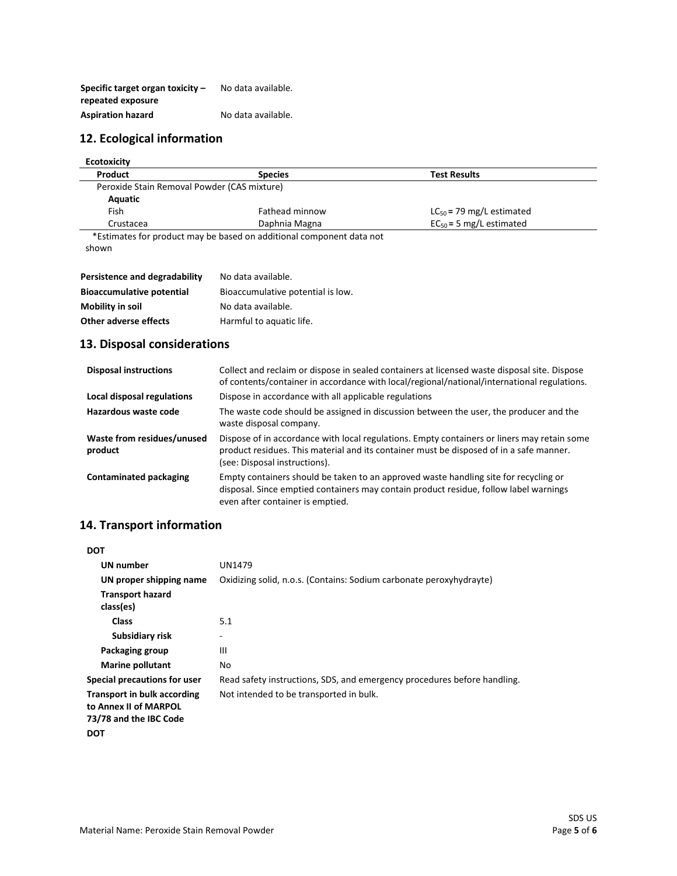| Specific target organ toxicity $-$ | No data available. |
|------------------------------------|--------------------|
| repeated exposure                  |                    |
| <b>Aspiration hazard</b>           | No data available. |

#### **12. Ecological information**

| <b>Ecotoxicity</b>                          |                                                                         |                               |  |
|---------------------------------------------|-------------------------------------------------------------------------|-------------------------------|--|
| Product                                     | <b>Species</b>                                                          | <b>Test Results</b>           |  |
| Peroxide Stain Removal Powder (CAS mixture) |                                                                         |                               |  |
| Aquatic                                     |                                                                         |                               |  |
| Fish                                        | Fathead minnow                                                          | $LC_{50}$ = 79 mg/L estimated |  |
| Crustacea                                   | Daphnia Magna                                                           | $EC_{50} = 5$ mg/L estimated  |  |
|                                             | $*F$ ctimatas far nraduat mau ha basad an additional sampanant data nat |                               |  |

 \*Estimates for product may be based on additional component data not shown

| Persistence and degradability    | No data available.                |
|----------------------------------|-----------------------------------|
| <b>Bioaccumulative potential</b> | Bioaccumulative potential is low. |
| Mobility in soil                 | No data available.                |
| Other adverse effects            | Harmful to aquatic life.          |

## **13. Disposal considerations**

| <b>Disposal instructions</b>          | Collect and reclaim or dispose in sealed containers at licensed waste disposal site. Dispose<br>of contents/container in accordance with local/regional/national/international regulations.                             |
|---------------------------------------|-------------------------------------------------------------------------------------------------------------------------------------------------------------------------------------------------------------------------|
| Local disposal regulations            | Dispose in accordance with all applicable regulations                                                                                                                                                                   |
| Hazardous waste code                  | The waste code should be assigned in discussion between the user, the producer and the<br>waste disposal company.                                                                                                       |
| Waste from residues/unused<br>product | Dispose of in accordance with local regulations. Empty containers or liners may retain some<br>product residues. This material and its container must be disposed of in a safe manner.<br>(see: Disposal instructions). |
| <b>Contaminated packaging</b>         | Empty containers should be taken to an approved waste handling site for recycling or<br>disposal. Since emptied containers may contain product residue, follow label warnings<br>even after container is emptied.       |

## **14. Transport information**

| <b>DOT</b>                                                                            |                                                                          |
|---------------------------------------------------------------------------------------|--------------------------------------------------------------------------|
| <b>UN</b> number                                                                      | UN1479                                                                   |
| UN proper shipping name                                                               | Oxidizing solid, n.o.s. (Contains: Sodium carbonate peroxyhydrayte)      |
| <b>Transport hazard</b><br>class(es)                                                  |                                                                          |
| <b>Class</b>                                                                          | 5.1                                                                      |
| Subsidiary risk                                                                       |                                                                          |
| Packaging group                                                                       | Ш                                                                        |
| <b>Marine pollutant</b>                                                               | No                                                                       |
| Special precautions for user                                                          | Read safety instructions, SDS, and emergency procedures before handling. |
| <b>Transport in bulk according</b><br>to Annex II of MARPOL<br>73/78 and the IBC Code | Not intended to be transported in bulk.                                  |
| <b>DOT</b>                                                                            |                                                                          |